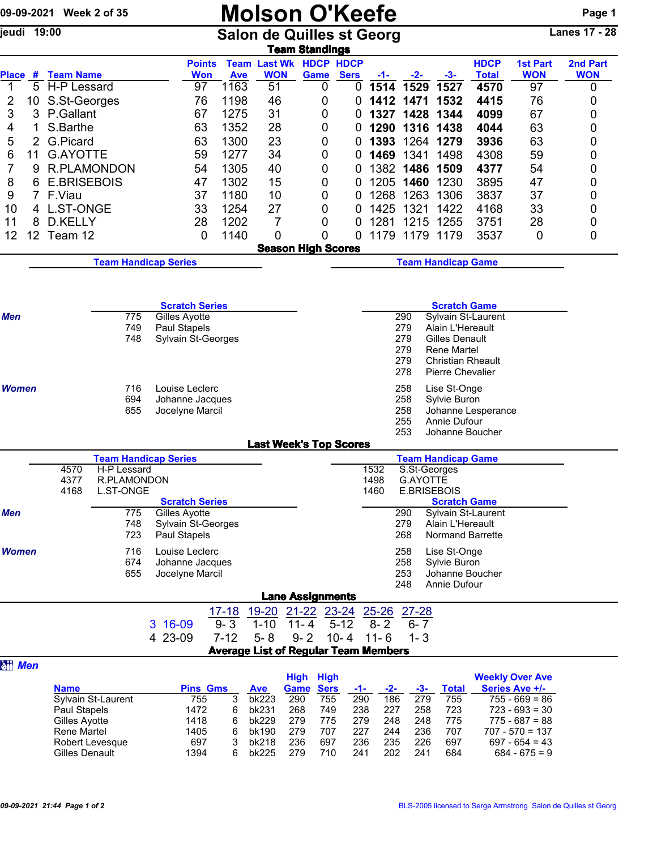| 09-09-2021 Week 2 of 35 |                 |                                    |                                 |     |                             |                        | <b>Molson O'Keefe</b> |                     |                                                        |                    |                   |               |               |                                |     |                      | Page 1                                    |                 |  |
|-------------------------|-----------------|------------------------------------|---------------------------------|-----|-----------------------------|------------------------|-----------------------|---------------------|--------------------------------------------------------|--------------------|-------------------|---------------|---------------|--------------------------------|-----|----------------------|-------------------------------------------|-----------------|--|
| jeudi                   | 19:00           |                                    |                                 |     |                             |                        |                       |                     | <b>Salon de Quilles st Georg</b>                       |                    |                   |               |               |                                |     |                      |                                           | Lanes $17 - 28$ |  |
|                         |                 |                                    |                                 |     |                             |                        |                       |                     | <b>Team Standings</b>                                  |                    |                   |               |               |                                |     |                      |                                           |                 |  |
|                         |                 |                                    |                                 |     |                             | <b>Points</b>          |                       |                     | <b>Team Last Wk HDCP HDCP</b>                          |                    |                   |               |               |                                |     | <b>HDCP</b>          | <b>1st Part</b>                           | 2nd Part        |  |
| 1                       |                 | Place # Team Name<br>5 H-P Lessard |                                 |     |                             | <b>Won</b><br>97       | <b>Ave</b><br>1163    | <b>WON</b><br>51    |                                                        | <b>Game</b><br>0   | <b>Sers</b><br>0  | $-1-$<br>1514 | $-2-$<br>1529 | $-3-$<br>1527                  |     | <b>Total</b><br>4570 | <b>WON</b><br>97                          | <b>WON</b><br>0 |  |
| 2                       | 10              | S.St-Georges                       |                                 |     |                             | 76                     | 1198                  | 46                  |                                                        | 0                  |                   |               | 1412 1471     | 1532                           |     | 4415                 | 76                                        | 0               |  |
| 3                       | 3               | P.Gallant                          |                                 |     |                             | 67                     | 1275                  | 31                  |                                                        | 0                  |                   |               | 1327 1428     | 1344                           |     | 4099                 | 67                                        |                 |  |
|                         | 1               | S.Barthe                           |                                 |     |                             | 63                     | 1352                  | 28                  |                                                        | 0                  | 0                 |               |               | 1290 1316 1438                 |     | 4044                 | 63                                        | 0<br>0          |  |
| 4<br>5                  | $\overline{2}$  | G.Picard                           |                                 |     |                             | 63                     | 1300                  | 23                  |                                                        | 0                  | 0                 | 1393          |               | 1264 1279                      |     | 3936                 | 63                                        | 0               |  |
|                         | 11              | <b>G.AYOTTE</b>                    |                                 |     |                             | 59                     | 1277                  | 34                  |                                                        | 0                  | 0                 |               | 1469 1341     | 1498                           |     | 4308                 | 59                                        |                 |  |
| 6<br>7                  | 9               | <b>R.PLAMONDON</b>                 |                                 |     |                             | 54                     | 1305                  | 40                  |                                                        | 0                  | 0                 |               | 1382 1486     | 1509                           |     | 4377                 | 54                                        | 0               |  |
| 8                       | 6               | <b>E.BRISEBOIS</b>                 |                                 |     |                             | 47                     | 1302                  | 15                  |                                                        | 0                  | 0                 |               | 1205 1460     | 1230                           |     | 3895                 | 47                                        | 0<br>0          |  |
| 9                       |                 | 7 F.Viau                           |                                 |     |                             | 37                     | 1180                  | 10                  |                                                        | 0                  | 0                 | 1268          | 1263          | 1306                           |     | 3837                 | 37                                        | 0               |  |
| 10                      |                 | 4 L.ST-ONGE                        |                                 |     |                             | 33                     | 1254                  | 27                  |                                                        | 0                  | 0                 | 1425          | 1321          | 1422                           |     | 4168                 | 33                                        | 0               |  |
| 11                      | 8               | D.KELLY                            |                                 |     |                             | 28                     | 1202                  | 7                   |                                                        | 0                  | 0                 | 1281          |               | 1215 1255                      |     | 3751                 | 28                                        | 0               |  |
| 12                      | 12 <sub>2</sub> | Team 12                            |                                 |     |                             | 0                      | 1140                  |                     | 0                                                      | 0                  | 0                 |               |               | 1179 1179 1179                 |     | 3537                 | 0                                         | 0               |  |
|                         |                 |                                    |                                 |     |                             |                        |                       |                     |                                                        |                    |                   |               |               |                                |     |                      |                                           |                 |  |
|                         |                 |                                    |                                 |     | <b>Team Handicap Series</b> |                        |                       |                     | <b>Season High Scores</b><br><b>Team Handicap Game</b> |                    |                   |               |               |                                |     |                      |                                           |                 |  |
|                         |                 |                                    |                                 |     |                             |                        |                       |                     |                                                        |                    |                   |               |               |                                |     |                      |                                           |                 |  |
|                         |                 |                                    |                                 |     | <b>Scratch Series</b>       |                        |                       |                     |                                                        |                    |                   |               |               |                                |     | <b>Scratch Game</b>  |                                           |                 |  |
| Men                     |                 |                                    |                                 | 775 | Gilles Ayotte               |                        |                       |                     |                                                        |                    |                   |               | 290           |                                |     | Sylvain St-Laurent   |                                           |                 |  |
|                         |                 |                                    |                                 | 749 | Paul Stapels                |                        |                       |                     |                                                        |                    |                   |               | 279           | Alain L'Hereault               |     |                      |                                           |                 |  |
|                         |                 |                                    |                                 | 748 | Sylvain St-Georges          |                        |                       |                     |                                                        |                    |                   |               | 279           | Gilles Denault                 |     |                      |                                           |                 |  |
|                         |                 |                                    |                                 |     |                             |                        |                       |                     |                                                        |                    |                   |               | 279<br>279    | Rene Martel                    |     | Christian Rheault    |                                           |                 |  |
|                         |                 |                                    |                                 |     |                             |                        |                       |                     |                                                        |                    |                   |               | 278           | <b>Pierre Chevalier</b>        |     |                      |                                           |                 |  |
| Women                   |                 |                                    |                                 | 716 | Louise Leclerc              |                        |                       |                     |                                                        |                    |                   |               | 258           | Lise St-Onge                   |     |                      |                                           |                 |  |
|                         |                 | 694<br>Johanne Jacques             |                                 |     |                             |                        |                       |                     |                                                        |                    |                   | 258           | Sylvie Buron  |                                |     |                      |                                           |                 |  |
|                         |                 |                                    |                                 | 655 | Jocelyne Marcil             |                        |                       |                     |                                                        |                    |                   |               | 258           |                                |     | Johanne Lesperance   |                                           |                 |  |
|                         |                 |                                    |                                 |     |                             |                        |                       |                     |                                                        |                    |                   |               | 255           | Annie Dufour                   |     |                      |                                           |                 |  |
|                         |                 |                                    |                                 |     |                             |                        |                       |                     | <b>Last Week's Top Scores</b>                          |                    |                   |               | 253           |                                |     | Johanne Boucher      |                                           |                 |  |
|                         |                 |                                    |                                 |     | <b>Team Handicap Series</b> |                        |                       |                     |                                                        |                    |                   |               |               | <b>Team Handicap Game</b>      |     |                      |                                           |                 |  |
|                         |                 | 4570                               | H-P Lessard                     |     |                             |                        |                       |                     |                                                        |                    |                   | 1532          |               | S.St-Georges                   |     |                      |                                           |                 |  |
|                         |                 | 4377                               | R.PLAMONDON<br><b>L.ST-ONGE</b> |     |                             |                        |                       |                     |                                                        |                    |                   | 1498          |               | G.AYOTTE<br><b>E.BRISEBOIS</b> |     |                      |                                           |                 |  |
|                         |                 | 4168                               |                                 |     | <b>Scratch Series</b>       |                        |                       |                     |                                                        |                    |                   | 1460          |               |                                |     | <b>Scratch Game</b>  |                                           |                 |  |
| Men                     |                 |                                    |                                 | 775 | Gilles Ayotte               |                        |                       |                     |                                                        |                    |                   |               | 290           |                                |     | Sylvain St-Laurent   |                                           |                 |  |
|                         |                 |                                    |                                 | 748 | Sylvain St-Georges          |                        |                       |                     |                                                        |                    |                   |               | 279           | Alain L'Hereault               |     |                      |                                           |                 |  |
|                         |                 |                                    |                                 | 723 | Paul Stapels                |                        |                       |                     |                                                        |                    |                   |               | 268           |                                |     | Normand Barrette     |                                           |                 |  |
| <b>Women</b>            |                 |                                    |                                 | 716 | Louise Leclerc              |                        |                       |                     |                                                        |                    |                   |               | 258           | Lise St-Onge                   |     |                      |                                           |                 |  |
|                         |                 |                                    |                                 | 674 | Johanne Jacques             |                        |                       |                     |                                                        |                    |                   |               | 258           | Sylvie Buron                   |     |                      |                                           |                 |  |
|                         |                 |                                    |                                 | 655 | Jocelyne Marcil             |                        |                       |                     |                                                        |                    |                   |               | 253<br>248    | Annie Dufour                   |     | Johanne Boucher      |                                           |                 |  |
|                         |                 |                                    |                                 |     |                             |                        |                       |                     | <b>Lane Assignments</b>                                |                    |                   |               |               |                                |     |                      |                                           |                 |  |
|                         |                 |                                    |                                 |     |                             |                        | 17-18                 | 19-20               |                                                        | 21-22 23-24        |                   | $25 - 26$     | $27 - 28$     |                                |     |                      |                                           |                 |  |
|                         |                 |                                    |                                 |     | 3 16-09                     |                        | $9 - 3$               | $1 - 10$            | $11 - 4$                                               | $5 - 12$           |                   | $8 - 2$       | $6 - 7$       |                                |     |                      |                                           |                 |  |
|                         |                 |                                    |                                 |     | 4 23-09                     |                        | $7 - 12$              | $5 - 8$             | $9 - 2$<br><b>Average List of Regular Team Members</b> | $10 - 4$           |                   | $11 - 6$      | $1 - 3$       |                                |     |                      |                                           |                 |  |
| <b>att</b> Men          |                 |                                    |                                 |     |                             |                        |                       |                     |                                                        |                    |                   |               |               |                                |     |                      |                                           |                 |  |
|                         |                 |                                    |                                 |     |                             |                        |                       |                     | High                                                   | <b>High</b>        |                   |               |               |                                |     |                      | <b>Weekly Over Ave</b>                    |                 |  |
|                         |                 | <b>Name</b>                        | Sylvain St-Laurent              |     |                             | <b>Pins Gms</b><br>755 | 3                     | <b>Ave</b><br>bk223 | Game<br>290                                            | <b>Sers</b><br>755 | <u>-1-</u><br>290 | $-2-$<br>186  | $-3-$<br>279  | <b>Total</b>                   | 755 |                      | <b>Series Ave +/-</b><br>$755 - 669 = 86$ |                 |  |
|                         |                 | Paul Stapels                       |                                 |     |                             | 1472                   | 6                     | bk231               | 268                                                    | 749                | 238               | 227           | 258           |                                | 723 |                      | $723 - 693 = 30$                          |                 |  |
|                         |                 | Gilles Ayotte                      |                                 |     |                             | 1418                   | 6                     | bk229               | 279                                                    | 775                | 279               | 248           | 248           |                                | 775 |                      | $775 - 687 = 88$                          |                 |  |
|                         |                 | Rene Martel                        |                                 |     |                             | 1405                   | 6                     | bk190               | 279                                                    | 707                | 227               | 244           |               | 236                            | 707 |                      | $707 - 570 = 137$                         |                 |  |
|                         |                 |                                    | Robert Levesque                 |     |                             | 697                    | 3                     | bk218               | 236                                                    | 697                | 236               | 235           |               | 226<br>697                     |     |                      | $697 - 654 = 43$                          |                 |  |

Gilles Denault 1394 6 bk225 279 710 241 202 241 684 684 - 675 = 9